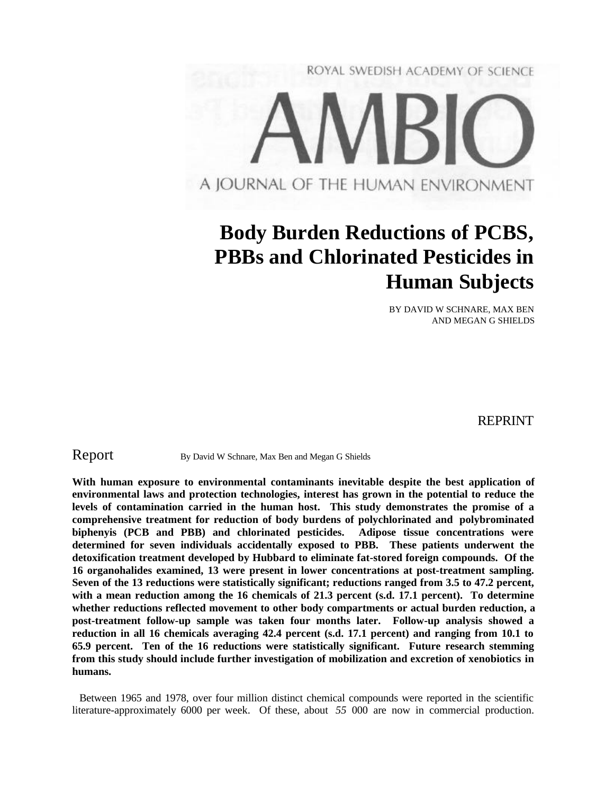

# **Body Burden Reductions of PCBS, PBBs and Chlorinated Pesticides in Human Subjects**

BY DAVID W SCHNARE, MAX BEN AND MEGAN G SHIELDS

REPRINT

Report By David W Schnare, Max Ben and Megan G Shields

**With human exposure to environmental contaminants inevitable despite the best application of environmental laws and protection technologies, interest has grown in the potential to reduce the levels of contamination carried in the human host. This study demonstrates the promise of a comprehensive treatment for reduction of body burdens of polychlorinated and polybrominated biphenyis (PCB and PBB) and chlorinated pesticides. Adipose tissue concentrations were determined for seven individuals accidentally exposed to PBB. These patients underwent the detoxification treatment developed by Hubbard to eliminate fat-stored foreign compounds. Of the 16 organohalides examined, 13 were present in lower concentrations at post-treatment sampling. Seven of the 13 reductions were statistically significant; reductions ranged from 3.5 to 47.2 percent,** with a mean reduction among the 16 chemicals of 21.3 percent (s.d. 17.1 percent). To determine **whether reductions reflected movement to other body compartments or actual burden reduction, a post-treatment follow-up sample was taken four months later. Follow-up analysis showed a reduction in all 16 chemicals averaging 42.4 percent (s.d. 17.1 percent) and ranging from 10.1 to 65.9 percent. Ten of the 16 reductions were statistically significant. Future research stemming from this study should include further investigation of mobilization and excretion of xenobiotics in humans.**

Between 1965 and 1978, over four million distinct chemical compounds were reported in the scientific literature-approximately 6000 per week. Of these, about *55* 000 are now in commercial production.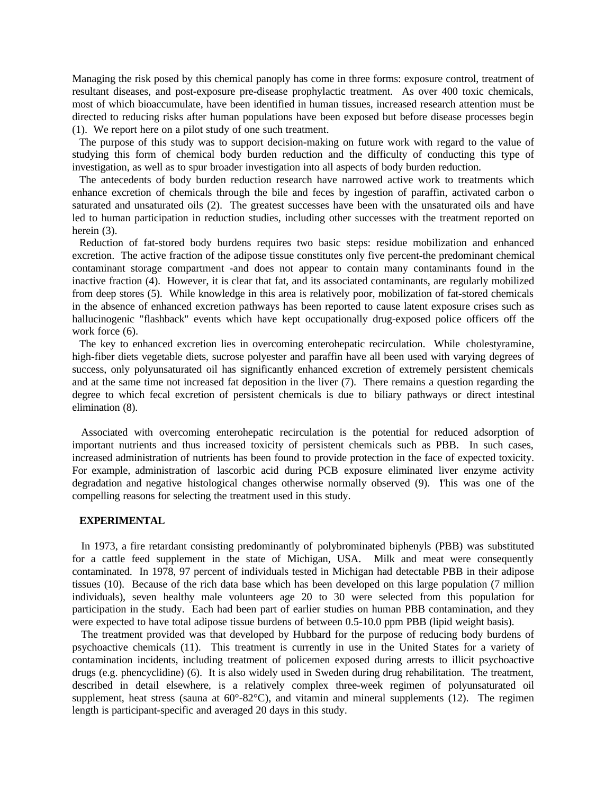Managing the risk posed by this chemical panoply has come in three forms: exposure control, treatment of resultant diseases, and post-exposure pre-disease prophylactic treatment. As over 400 toxic chemicals, most of which bioaccumulate, have been identified in human tissues, increased research attention must be directed to reducing risks after human populations have been exposed but before disease processes begin (1). We report here on a pilot study of one such treatment.

The purpose of this study was to support decision-making on future work with regard to the value of studying this form of chemical body burden reduction and the difficulty of conducting this type of investigation, as well as to spur broader investigation into all aspects of body burden reduction.

The antecedents of body burden reduction research have narrowed active work to treatments which enhance excretion of chemicals through the bile and feces by ingestion of paraffin, activated carbon o saturated and unsaturated oils (2). The greatest successes have been with the unsaturated oils and have led to human participation in reduction studies, including other successes with the treatment reported on herein  $(3)$ .

Reduction of fat-stored body burdens requires two basic steps: residue mobilization and enhanced excretion. The active fraction of the adipose tissue constitutes only five percent-the predominant chemical contaminant storage compartment -and does not appear to contain many contaminants found in the inactive fraction (4). However, it is clear that fat, and its associated contaminants, are regularly mobilized from deep stores (5). While knowledge in this area is relatively poor, mobilization of fat-stored chemicals in the absence of enhanced excretion pathways has been reported to cause latent exposure crises such as hallucinogenic "flashback" events which have kept occupationally drug-exposed police officers off the work force  $(6)$ .

The key to enhanced excretion lies in overcoming enterohepatic recirculation. While cholestyramine, high-fiber diets vegetable diets, sucrose polyester and paraffin have all been used with varying degrees of success, only polyunsaturated oil has significantly enhanced excretion of extremely persistent chemicals and at the same time not increased fat deposition in the liver (7). There remains a question regarding the degree to which fecal excretion of persistent chemicals is due to biliary pathways or direct intestinal elimination (8).

Associated with overcoming enterohepatic recirculation is the potential for reduced adsorption of important nutrients and thus increased toxicity of persistent chemicals such as PBB. In such cases, increased administration of nutrients has been found to provide protection in the face of expected toxicity. For example, administration of lascorbic acid during PCB exposure eliminated liver enzyme activity degradation and negative histological changes otherwise normally observed (9). This was one of the compelling reasons for selecting the treatment used in this study.

## **EXPERIMENTAL**

In 1973, a fire retardant consisting predominantly of polybrominated biphenyls (PBB) was substituted for a cattle feed supplement in the state of Michigan, USA. Milk and meat were consequently contaminated. In 1978, 97 percent of individuals tested in Michigan had detectable PBB in their adipose tissues (10). Because of the rich data base which has been developed on this large population (7 million individuals), seven healthy male volunteers age 20 to 30 were selected from this population for participation in the study. Each had been part of earlier studies on human PBB contamination, and they were expected to have total adipose tissue burdens of between 0.5-10.0 ppm PBB (lipid weight basis).

The treatment provided was that developed by Hubbard for the purpose of reducing body burdens of psychoactive chemicals (11). This treatment is currently in use in the United States for a variety of contamination incidents, including treatment of policemen exposed during arrests to illicit psychoactive drugs (e.g. phencyclidine) (6). It is also widely used in Sweden during drug rehabilitation. The treatment, described in detail elsewhere, is a relatively complex three-week regimen of polyunsaturated oil supplement, heat stress (sauna at  $60^{\circ}$ -82 $^{\circ}$ C), and vitamin and mineral supplements (12). The regimen length is participant-specific and averaged 20 days in this study.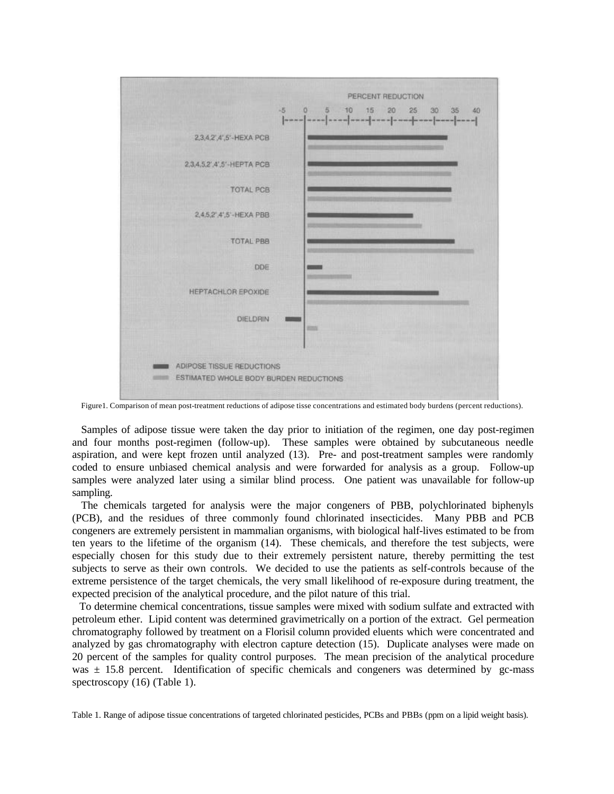

Figure1. Comparison of mean post-treatment reductions of adipose tisse concentrations and estimated body burdens (percent reductions).

Samples of adipose tissue were taken the day prior to initiation of the regimen, one day post-regimen and four months post-regimen (follow-up). These samples were obtained by subcutaneous needle aspiration, and were kept frozen until analyzed (13). Pre- and post-treatment samples were randomly coded to ensure unbiased chemical analysis and were forwarded for analysis as a group. Follow-up samples were analyzed later using a similar blind process. One patient was unavailable for follow-up sampling.

The chemicals targeted for analysis were the major congeners of PBB, polychlorinated biphenyls (PCB), and the residues of three commonly found chlorinated insecticides. Many PBB and PCB congeners are extremely persistent in mammalian organisms, with biological half-lives estimated to be from ten years to the lifetime of the organism (14). These chemicals, and therefore the test subjects, were especially chosen for this study due to their extremely persistent nature, thereby permitting the test subjects to serve as their own controls. We decided to use the patients as self-controls because of the extreme persistence of the target chemicals, the very small likelihood of re-exposure during treatment, the expected precision of the analytical procedure, and the pilot nature of this trial.

To determine chemical concentrations, tissue samples were mixed with sodium sulfate and extracted with petroleum ether. Lipid content was determined gravimetrically on a portion of the extract. Gel permeation chromatography followed by treatment on a Florisil column provided eluents which were concentrated and analyzed by gas chromatography with electron capture detection (15). Duplicate analyses were made on 20 percent of the samples for quality control purposes. The mean precision of the analytical procedure was  $\pm$  15.8 percent. Identification of specific chemicals and congeners was determined by gc-mass spectroscopy (16) (Table 1).

Table 1. Range of adipose tissue concentrations of targeted chlorinated pesticides, PCBs and PBBs (ppm on a lipid weight basis).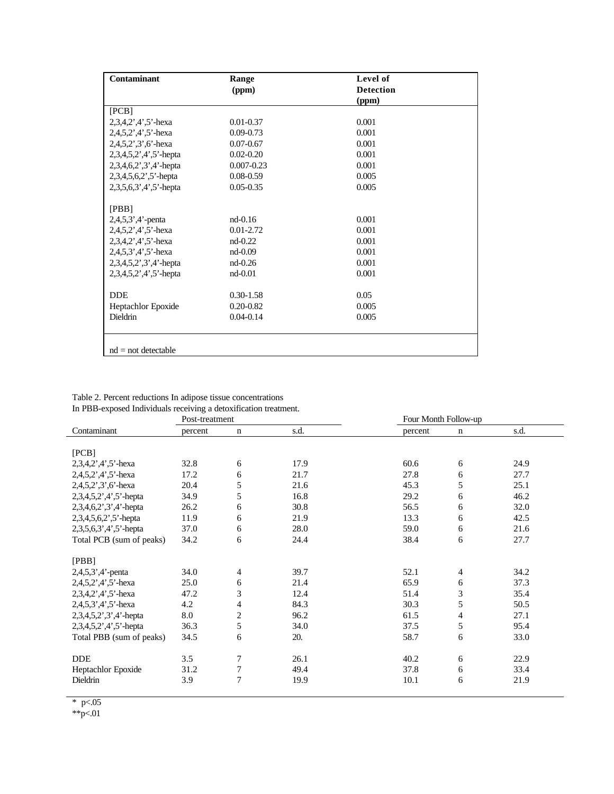|                           | (ppm)          | <b>Detection</b><br>(ppm) |  |  |  |  |  |
|---------------------------|----------------|---------------------------|--|--|--|--|--|
|                           |                |                           |  |  |  |  |  |
|                           |                |                           |  |  |  |  |  |
| [PCB]                     |                |                           |  |  |  |  |  |
| 2,3,4,2',4',5'-hexa       | $0.01 - 0.37$  | 0.001                     |  |  |  |  |  |
| $2,4,5,2',4',5'$ -hexa    | $0.09 - 0.73$  | 0.001                     |  |  |  |  |  |
| $2,4,5,2,3,6$ -hexa       | $0.07 - 0.67$  | 0.001                     |  |  |  |  |  |
| $2,3,4,5,2',4',5'$ -hepta | $0.02 - 0.20$  | 0.001                     |  |  |  |  |  |
| $2,3,4,6,2',3',4'$ -hepta | $0.007 - 0.23$ | 0.001                     |  |  |  |  |  |
| $2,3,4,5,6,2$ ', 5'-hepta | $0.08 - 0.59$  | 0.005                     |  |  |  |  |  |
| $2,3,5,6,3',4',5'$ -hepta | $0.05 - 0.35$  | 0.005                     |  |  |  |  |  |
|                           |                |                           |  |  |  |  |  |
| [PBB]                     |                |                           |  |  |  |  |  |
| $2,4,5,3',4'$ -penta      | $nd-0.16$      | 0.001                     |  |  |  |  |  |
| $2,4,5,2',4',5'$ -hexa    | $0.01 - 2.72$  | 0.001                     |  |  |  |  |  |
| $2,3,4,2',4',5'$ -hexa    | $nd-0.22$      | 0.001                     |  |  |  |  |  |
| $2,4,5,3',4',5'$ -hexa    | $nd-0.09$      | 0.001                     |  |  |  |  |  |
| $2,3,4,5,2',3',4'$ -hepta | $nd-0.26$      | 0.001                     |  |  |  |  |  |
| $2,3,4,5,2',4',5'$ -hepta | $nd-0.01$      | 0.001                     |  |  |  |  |  |
|                           |                |                           |  |  |  |  |  |
| <b>DDE</b>                | $0.30 - 1.58$  | 0.05                      |  |  |  |  |  |
| Heptachlor Epoxide        | $0.20 - 0.82$  | 0.005                     |  |  |  |  |  |
| Dieldrin                  | $0.04 - 0.14$  | 0.005                     |  |  |  |  |  |
|                           |                |                           |  |  |  |  |  |
|                           |                |                           |  |  |  |  |  |
| $nd = not detectable$     |                |                           |  |  |  |  |  |

Table 2. Percent reductions In adipose tissue concentrations In PBB-exposed Individuals receiving a detoxification treatment.

| $\ldots$                  | Post-treatment |                       |      |         | Four Month Follow-up |      |  |
|---------------------------|----------------|-----------------------|------|---------|----------------------|------|--|
| Contaminant               | percent        | n                     | s.d. | percent | $\mathbf n$          | s.d. |  |
|                           |                |                       |      |         |                      |      |  |
| [PCB]                     |                |                       |      |         |                      |      |  |
| $2,3,4,2',4',5'$ -hexa    | 32.8           | 6                     | 17.9 | 60.6    | 6                    | 24.9 |  |
| $2,4,5,2',4',5'$ -hexa    | 17.2           | 6                     | 21.7 | 27.8    | 6                    | 27.7 |  |
| $2,4,5,2',3',6'$ -hexa    | 20.4           | 5                     | 21.6 | 45.3    | 5                    | 25.1 |  |
| 2,3,4,5,2',4',5'-hepta    | 34.9           | 5                     | 16.8 | 29.2    | 6                    | 46.2 |  |
| $2,3,4,6,2',3',4'$ -hepta | 26.2           | 6                     | 30.8 | 56.5    | 6                    | 32.0 |  |
| 2,3,4,5,6,2',5'-hepta     | 11.9           | 6                     | 21.9 | 13.3    | 6                    | 42.5 |  |
| $2,3,5,6,3',4',5'$ -hepta | 37.0           | 6                     | 28.0 | 59.0    | 6                    | 21.6 |  |
| Total PCB (sum of peaks)  | 34.2           | 6                     | 24.4 | 38.4    | 6                    | 27.7 |  |
|                           |                |                       |      |         |                      |      |  |
| [PBB]                     |                |                       |      |         |                      |      |  |
| $2,4,5,3',4'$ -penta      | 34.0           | 4                     | 39.7 | 52.1    | 4                    | 34.2 |  |
| $2,4,5,2',4',5'$ -hexa    | 25.0           | 6                     | 21.4 | 65.9    | 6                    | 37.3 |  |
| $2,3,4,2',4',5'$ -hexa    | 47.2           | 3                     | 12.4 | 51.4    | 3                    | 35.4 |  |
| $2,4,5,3',4',5'$ -hexa    | 4.2            | $\overline{4}$        | 84.3 | 30.3    | 5                    | 50.5 |  |
| 2,3,4,5,2',3',4'-hepta    | 8.0            | $\overline{c}$        | 96.2 | 61.5    | 4                    | 27.1 |  |
| $2,3,4,5,2',4',5'$ -hepta | 36.3           | 5                     | 34.0 | 37.5    | 5                    | 95.4 |  |
| Total PBB (sum of peaks)  | 34.5           | 6                     | 20.  | 58.7    | 6                    | 33.0 |  |
|                           |                |                       |      |         |                      |      |  |
| <b>DDE</b>                | 3.5            | 7                     | 26.1 | 40.2    | 6                    | 22.9 |  |
|                           |                |                       |      |         |                      |      |  |
| Dieldrin                  | 3.9            |                       | 19.9 | 10.1    | 6                    | 21.9 |  |
| Heptachlor Epoxide        | 31.2           | $\boldsymbol{7}$<br>7 | 49.4 | 37.8    | 6                    | 33.4 |  |

\*  $p<.05$ 

\*\*p<.01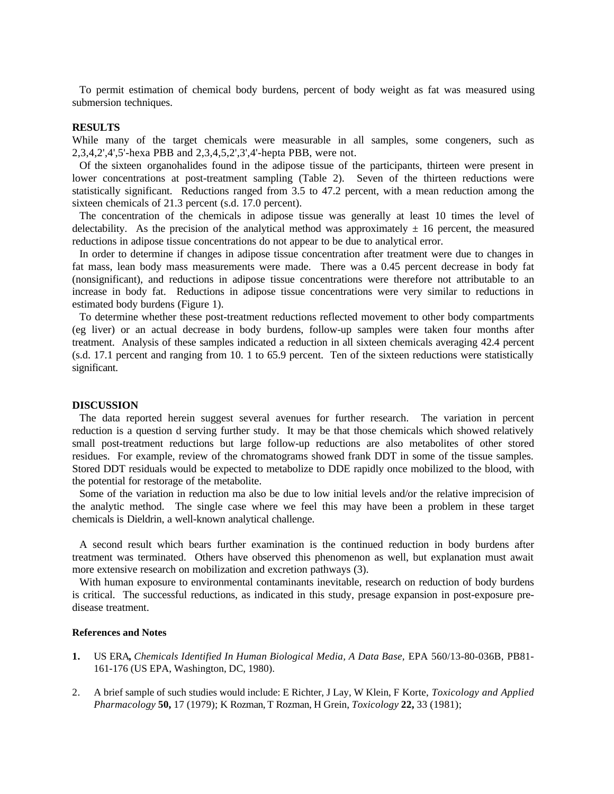To permit estimation of chemical body burdens, percent of body weight as fat was measured using submersion techniques.

## **RESULTS**

While many of the target chemicals were measurable in all samples, some congeners, such as 2,3,4,2',4',5'-hexa PBB and 2,3,4,5,2',3',4'-hepta PBB, were not.

Of the sixteen organohalides found in the adipose tissue of the participants, thirteen were present in lower concentrations at post-treatment sampling (Table 2). Seven of the thirteen reductions were statistically significant. Reductions ranged from 3.5 to 47.2 percent, with a mean reduction among the sixteen chemicals of 21.3 percent (s.d. 17.0 percent).

The concentration of the chemicals in adipose tissue was generally at least 10 times the level of delectability. As the precision of the analytical method was approximately  $\pm 16$  percent, the measured reductions in adipose tissue concentrations do not appear to be due to analytical error.

In order to determine if changes in adipose tissue concentration after treatment were due to changes in fat mass, lean body mass measurements were made. There was a 0.45 percent decrease in body fat (nonsignificant), and reductions in adipose tissue concentrations were therefore not attributable to an increase in body fat. Reductions in adipose tissue concentrations were very similar to reductions in estimated body burdens (Figure 1).

To determine whether these post-treatment reductions reflected movement to other body compartments (eg liver) or an actual decrease in body burdens, follow-up samples were taken four months after treatment. Analysis of these samples indicated a reduction in all sixteen chemicals averaging 42.4 percent (s.d. 17.1 percent and ranging from 10. 1 to 65.9 percent. Ten of the sixteen reductions were statistically significant.

#### **DISCUSSION**

The data reported herein suggest several avenues for further research. The variation in percent reduction is a question d serving further study. It may be that those chemicals which showed relatively small post-treatment reductions but large follow-up reductions are also metabolites of other stored residues. For example, review of the chromatograms showed frank DDT in some of the tissue samples. Stored DDT residuals would be expected to metabolize to DDE rapidly once mobilized to the blood, with the potential for restorage of the metabolite.

Some of the variation in reduction ma also be due to low initial levels and/or the relative imprecision of the analytic method. The single case where we feel this may have been a problem in these target chemicals is Dieldrin, a well-known analytical challenge.

A second result which bears further examination is the continued reduction in body burdens after treatment was terminated. Others have observed this phenomenon as well, but explanation must await more extensive research on mobilization and excretion pathways (3).

With human exposure to environmental contaminants inevitable, research on reduction of body burdens is critical. The successful reductions, as indicated in this study, presage expansion in post-exposure predisease treatment.

#### **References and Notes**

- **1.** US ERA**,** *Chemicals Identified In Human Biological Media, A Data Base,* EPA 560/13-80-036B, PB81- 161-176 (US EPA, Washington, DC, 1980).
- 2. A brief sample of such studies would include: E Richter, J Lay, W Klein, F Korte, *Toxicology and Applied Pharmacology* **50,** 17 (1979); K Rozman, T Rozman, H Grein, *Toxicology* **22,** 33 (1981);